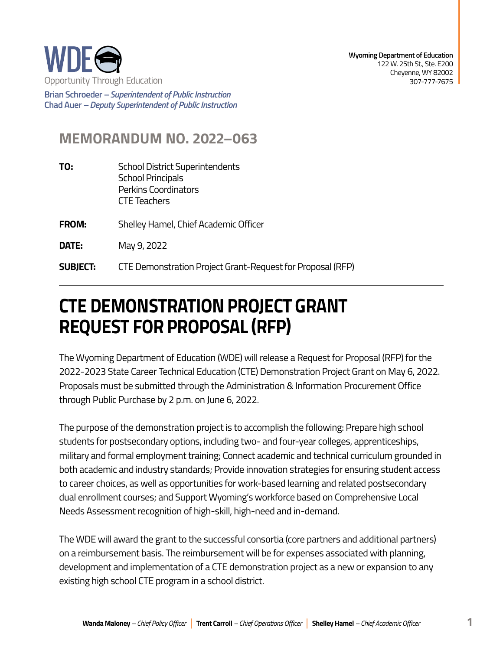

**Brian Schroeder –***Superintendent of Public Instruction*  **Chad Auer** *– Deputy Superintendent of Public Instruction* 

## **MEMORANDUM NO. 2022–063**

- **TO:** School District Superintendents School Principals Perkins Coordinators CTE Teachers
- **FROM:** Shelley Hamel, Chief Academic Officer
- **DATE:** May 9, 2022
- **SUBJECT:** CTE Demonstration Project Grant-Request for Proposal (RFP)

## **REQUEST FOR PROPOSAL (RFP) CTE DEMONSTRATION PROJECT GRANT**

through Public Purchase by 2 p.m. on June 6, 2022. The Wyoming Department of Education (WDE) will release a Request for Proposal (RFP) for the 2022-2023 State Career Technical Education (CTE) Demonstration Project Grant on May 6, 2022. Proposals must be submitted through the Administration & Information Procurement Office

The purpose of the demonstration project is to accomplish the following: Prepare high school students for postsecondary options, including two- and four-year colleges, apprenticeships, military and formal employment training; Connect academic and technical curriculum grounded in both academic and industry standards; Provide innovation strategies for ensuring student access to career choices, as well as opportunities for work-based learning and related postsecondary dual enrollment courses; and Support Wyoming's workforce based on Comprehensive Local Needs Assessment recognition of high-skill, high-need and in-demand.

The WDE will award the grant to the successful consortia (core partners and additional partners) on a reimbursement basis. The reimbursement will be for expenses associated with planning, development and implementation of a CTE demonstration project as a new or expansion to any existing high school CTE program in a school district.